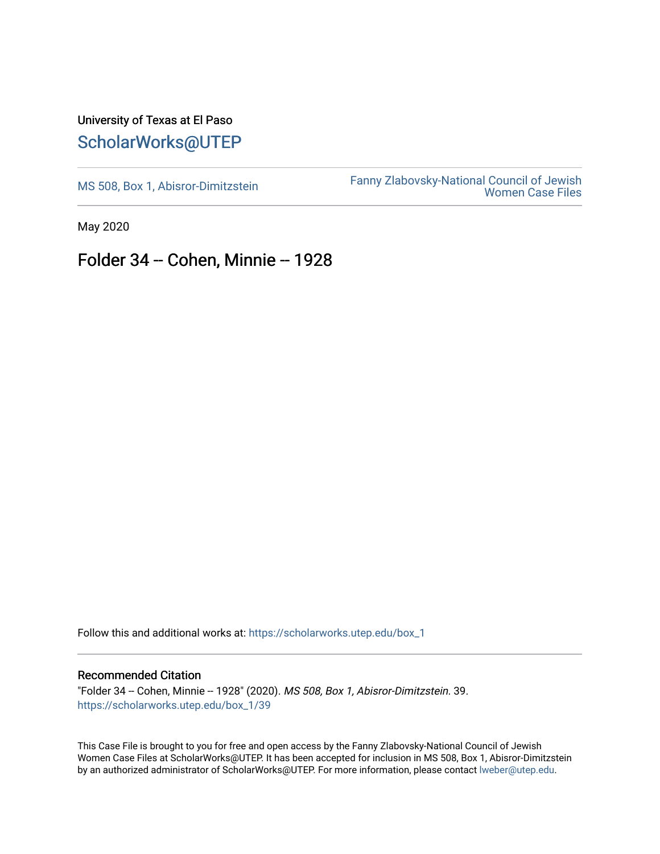## University of Texas at El Paso [ScholarWorks@UTEP](https://scholarworks.utep.edu/)

[MS 508, Box 1, Abisror-Dimitzstein](https://scholarworks.utep.edu/box_1) Fanny Zlabovsky-National Council of Jewish [Women Case Files](https://scholarworks.utep.edu/fanny_z) 

May 2020

## Folder 34 -- Cohen, Minnie -- 1928

Follow this and additional works at: [https://scholarworks.utep.edu/box\\_1](https://scholarworks.utep.edu/box_1?utm_source=scholarworks.utep.edu%2Fbox_1%2F39&utm_medium=PDF&utm_campaign=PDFCoverPages) 

## Recommended Citation

"Folder 34 -- Cohen, Minnie -- 1928" (2020). MS 508, Box 1, Abisror-Dimitzstein. 39. [https://scholarworks.utep.edu/box\\_1/39](https://scholarworks.utep.edu/box_1/39?utm_source=scholarworks.utep.edu%2Fbox_1%2F39&utm_medium=PDF&utm_campaign=PDFCoverPages)

This Case File is brought to you for free and open access by the Fanny Zlabovsky-National Council of Jewish Women Case Files at ScholarWorks@UTEP. It has been accepted for inclusion in MS 508, Box 1, Abisror-Dimitzstein by an authorized administrator of ScholarWorks@UTEP. For more information, please contact [lweber@utep.edu.](mailto:lweber@utep.edu)